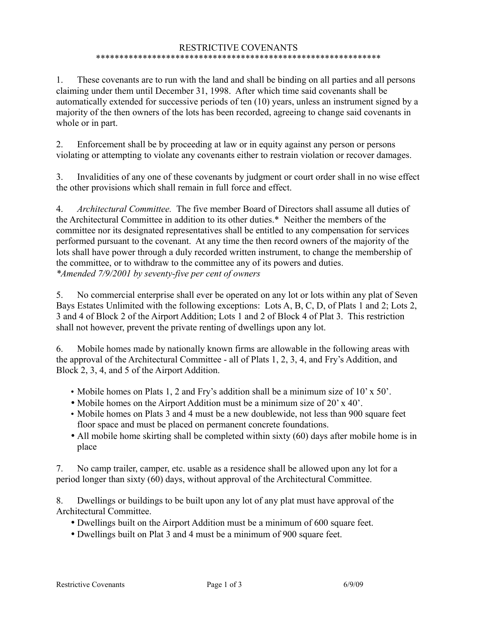## RESTRICTIVE COVENANTS \*\*\*\*\*\*\*\*\*\*\*\*\*\*\*\*\*\*\*\*\*\*\*\*\*\*\*\*\*\*\*\*\*\*\*\*\*\*\*\*\*\*\*\*\*\*\*\*\*\*\*\*\*\*\*\*\*\*\*\*\*

1. These covenants are to run with the land and shall be binding on all parties and all persons claiming under them until December 31, 1998. After which time said covenants shall be automatically extended for successive periods of ten (10) years, unless an instrument signed by a majority of the then owners of the lots has been recorded, agreeing to change said covenants in whole or in part.

2. Enforcement shall be by proceeding at law or in equity against any person or persons violating or attempting to violate any covenants either to restrain violation or recover damages.

3. Invalidities of any one of these covenants by judgment or court order shall in no wise effect the other provisions which shall remain in full force and effect.

4. *Architectural Committee.* The five member Board of Directors shall assume all duties of the Architectural Committee in addition to its other duties.\* Neither the members of the committee nor its designated representatives shall be entitled to any compensation for services performed pursuant to the covenant. At any time the then record owners of the majority of the lots shall have power through a duly recorded written instrument, to change the membership of the committee, or to withdraw to the committee any of its powers and duties. *\*Amended 7/9/2001 by seventy-five per cent of owners*

5. No commercial enterprise shall ever be operated on any lot or lots within any plat of Seven Bays Estates Unlimited with the following exceptions: Lots A, B, C, D, of Plats 1 and 2; Lots 2, 3 and 4 of Block 2 of the Airport Addition; Lots 1 and 2 of Block 4 of Plat 3. This restriction shall not however, prevent the private renting of dwellings upon any lot.

6. Mobile homes made by nationally known firms are allowable in the following areas with the approval of the Architectural Committee - all of Plats 1, 2, 3, 4, and Fry's Addition, and Block 2, 3, 4, and 5 of the Airport Addition.

- Mobile homes on Plats 1, 2 and Fry's addition shall be a minimum size of 10' x 50'.
- Mobile homes on the Airport Addition must be a minimum size of 20' x 40'.
- Mobile homes on Plats 3 and 4 must be a new doublewide, not less than 900 square feet floor space and must be placed on permanent concrete foundations.
- All mobile home skirting shall be completed within sixty (60) days after mobile home is in place

7. No camp trailer, camper, etc. usable as a residence shall be allowed upon any lot for a period longer than sixty (60) days, without approval of the Architectural Committee.

8. Dwellings or buildings to be built upon any lot of any plat must have approval of the Architectural Committee.

- Dwellings built on the Airport Addition must be a minimum of 600 square feet.
- Dwellings built on Plat 3 and 4 must be a minimum of 900 square feet.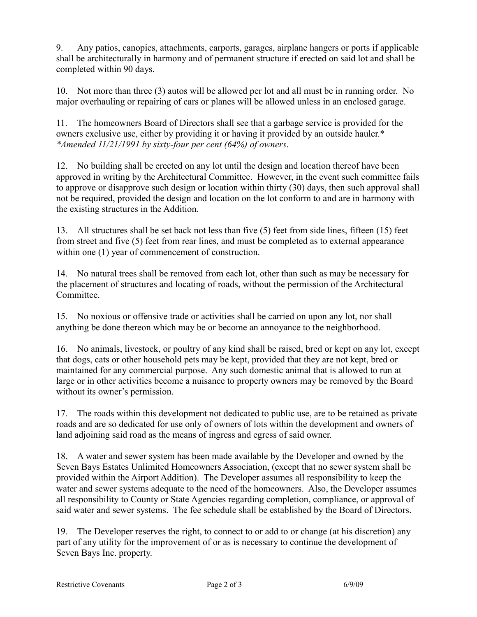9. Any patios, canopies, attachments, carports, garages, airplane hangers or ports if applicable shall be architecturally in harmony and of permanent structure if erected on said lot and shall be completed within 90 days.

10. Not more than three (3) autos will be allowed per lot and all must be in running order. No major overhauling or repairing of cars or planes will be allowed unless in an enclosed garage.

11. The homeowners Board of Directors shall see that a garbage service is provided for the owners exclusive use, either by providing it or having it provided by an outside hauler.\* *\*Amended 11/21/1991 by sixty-four per cent (64%) of owners*.

12. No building shall be erected on any lot until the design and location thereof have been approved in writing by the Architectural Committee. However, in the event such committee fails to approve or disapprove such design or location within thirty (30) days, then such approval shall not be required, provided the design and location on the lot conform to and are in harmony with the existing structures in the Addition.

13. All structures shall be set back not less than five (5) feet from side lines, fifteen (15) feet from street and five (5) feet from rear lines, and must be completed as to external appearance within one  $(1)$  year of commencement of construction.

14. No natural trees shall be removed from each lot, other than such as may be necessary for the placement of structures and locating of roads, without the permission of the Architectural **Committee** 

15. No noxious or offensive trade or activities shall be carried on upon any lot, nor shall anything be done thereon which may be or become an annoyance to the neighborhood.

16. No animals, livestock, or poultry of any kind shall be raised, bred or kept on any lot, except that dogs, cats or other household pets may be kept, provided that they are not kept, bred or maintained for any commercial purpose. Any such domestic animal that is allowed to run at large or in other activities become a nuisance to property owners may be removed by the Board without its owner's permission.

17. The roads within this development not dedicated to public use, are to be retained as private roads and are so dedicated for use only of owners of lots within the development and owners of land adjoining said road as the means of ingress and egress of said owner.

18. A water and sewer system has been made available by the Developer and owned by the Seven Bays Estates Unlimited Homeowners Association, (except that no sewer system shall be provided within the Airport Addition). The Developer assumes all responsibility to keep the water and sewer systems adequate to the need of the homeowners. Also, the Developer assumes all responsibility to County or State Agencies regarding completion, compliance, or approval of said water and sewer systems. The fee schedule shall be established by the Board of Directors.

19. The Developer reserves the right, to connect to or add to or change (at his discretion) any part of any utility for the improvement of or as is necessary to continue the development of Seven Bays Inc. property.